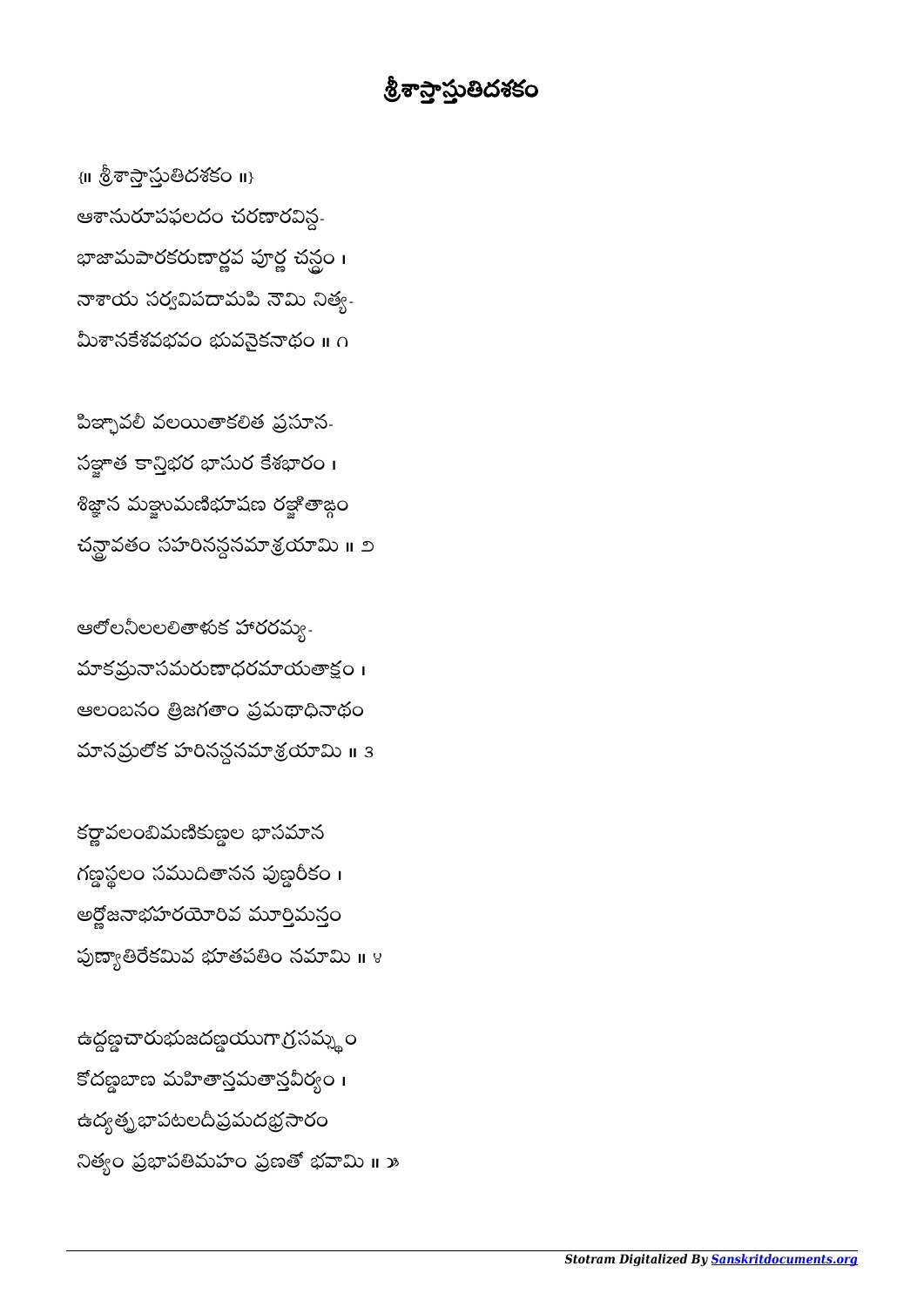## <u> శ్రీశాస్త్రాస్తుతిదశకం</u>

 $\{ \parallel \mathring{\otimes} \vec{\sigma} \, \widehat{\sigma} \, \widehat{\sim} \, \widehat{\omega} \, \widehat{\omega} \, \widehat{\omega} \, \widehat{\omega} \, \widehat{\omega} \, \widehat{\omega} \}$ ఆశానురూపఫలదం చరణారవిన్గ-భాజామపారకరుణార్జవ పూర్ణ చన్లం। నాశాయ సర్వవిపదామపి నౌమి నిత్య-మీశానకేశవభవం భువనైకనాథం ॥ ∩

పిజ్ఛావలీ వలయితాకలిత ప్రసూన-సత్జాత కాన్తిభర భాసుర కేశభారం। శిజ్ఞాన మళ్లానుణిభూషణ రళ్లాతాజ్గం చన్ద్రావతం సహరినన్ధనమాశ్రయామి ॥ ౨

ఆలోలనీలలలితాళుక హారరమ్య-మాకమ్రనాసమరుణాధరమాయతాక్షం । ఆలంబనం త్రిజగతాం ప్రమథాధినాథం మానమ్రలోక హరినన్దనమాశ్రయామి ॥ 3

కర్ణావలంబిమణికుణ్ణల భాసమాన గణ్ణస్థలం సముదితానన పుణ్డరికం । అర్లోజనాభహరయోరివ మూర్తిమన్తం పుణ్యాతిరేకమివ భూతపతిం నమామి ॥ ४

ఉద్ధణ్ణచారుభుజదణ్ణయుగాగ్రసమ్న**ం** కోదణ్ణబాణ మహితానమతానవీర్వం । ఉద్యత్నభాపటలదీప్రమదభ్రసారం నిత్యం ప్రభాపతిమహం ప్రణతో భవామి ॥ <mark>»</mark>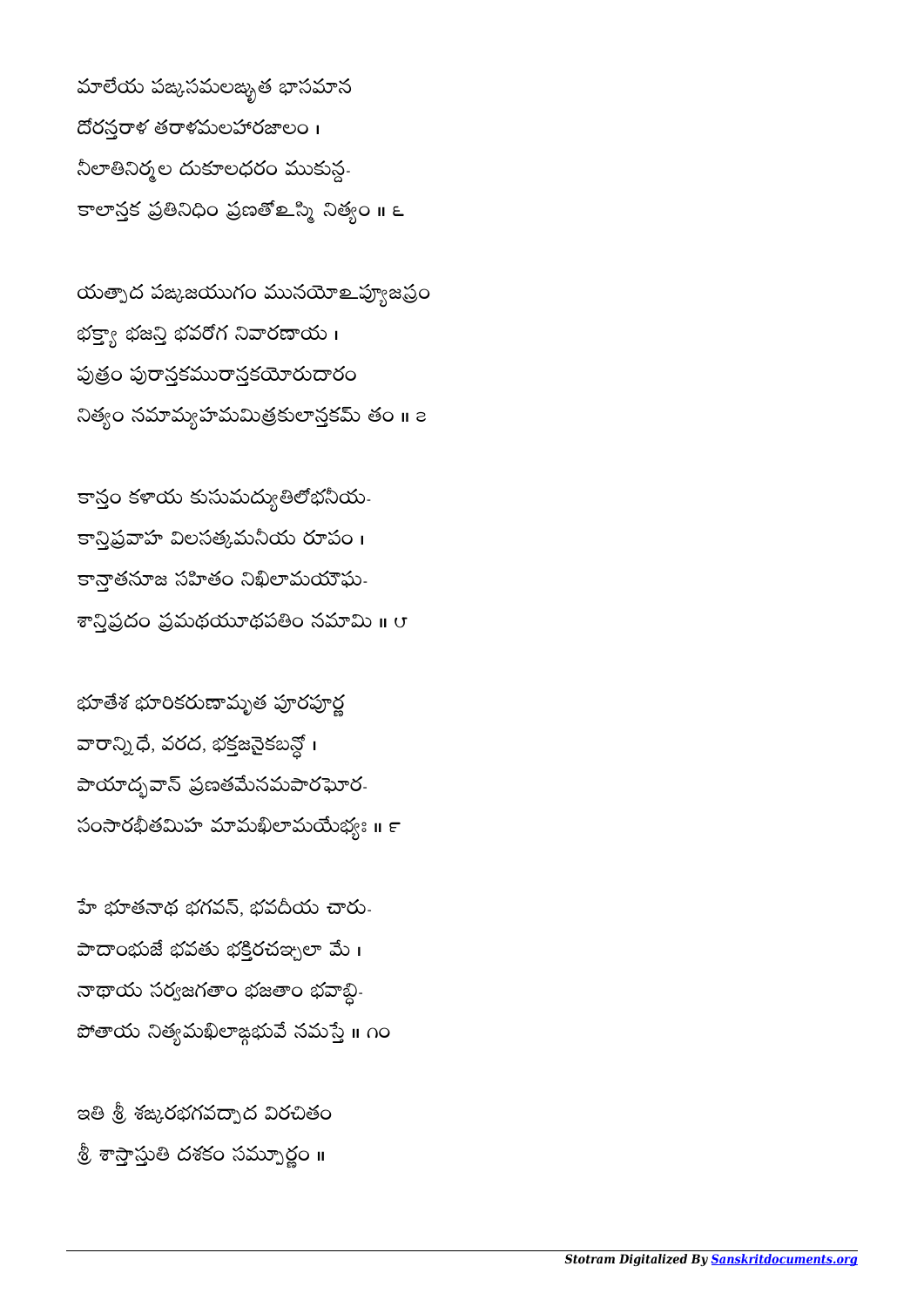మాలేయ పఙ్కసమలఙ్భత భాసమాన దోరన్తరాళ తరాళమలహారజాలం । నీలాతినిర్మల దుకూలధరం ముకున్గ-కాలాన్తక ప్రతినిధిం ప్రణతో ఒన్మి నిత్యం <mark>။</mark> ౬

యత్నాద పఙజయుగం మునయోஉప్యూజప్రం భక్యా భజన్తి భవరోగ నివారణాయ  $\overline{\mathbf{I}}$ పుత్రం పురానకమురానకయోరుదారం నిత్యం నమామ్యహమమిత్రకులాన్తకమ్ తం ॥ a

కాన్తం కళాయ కుసుమద్యుతిలోభనీయ-కాన్తిప్రవాహ విలసత్కమనీయ రూపం। కాన్తాతనూజ సహితం నిఖిలామయౌఘ-శాన్మిప్రదం ప్రమథయూథపతిం నమామి ॥ ౮

భూతేశ భూరికరుణామృత పూరపూర్ణ వారాన్ని ధే, వరద, భక్తజనైకబన్లో । పాయాద్భవాన్ ప్రణతమేనమపారఘోర-సంసారభీతమిహ మామఖిలామయేభ్యః ॥ ౯

హే భూతనాథ భగవన్, భవదీయ చారు-పాదాంభుజే భవతు భక్తిరచఞ్చలా మే। నాథాయ సర్వజగతాం భజతాం భవాబ్ది-పోతాయ నిత్యమఖిలాఙ్గభువే నమస్తే ॥ ౧౦

ఇతి శ్రీ శఙ్కరభగవద్నాద విరచితం శ్రీ శాస్త్రాస్తుతి దశకం సమ్నూర్ణం ॥